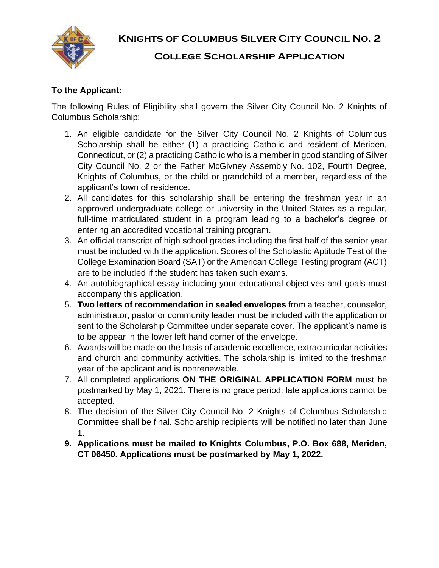

**Knights of Columbus Silver City Council No. 2**

# **College Scholarship Application**

#### **To the Applicant:**

The following Rules of Eligibility shall govern the Silver City Council No. 2 Knights of Columbus Scholarship:

- 1. An eligible candidate for the Silver City Council No. 2 Knights of Columbus Scholarship shall be either (1) a practicing Catholic and resident of Meriden, Connecticut, or (2) a practicing Catholic who is a member in good standing of Silver City Council No. 2 or the Father McGivney Assembly No. 102, Fourth Degree, Knights of Columbus, or the child or grandchild of a member, regardless of the applicant's town of residence.
- 2. All candidates for this scholarship shall be entering the freshman year in an approved undergraduate college or university in the United States as a regular, full-time matriculated student in a program leading to a bachelor's degree or entering an accredited vocational training program.
- 3. An official transcript of high school grades including the first half of the senior year must be included with the application. Scores of the Scholastic Aptitude Test of the College Examination Board (SAT) or the American College Testing program (ACT) are to be included if the student has taken such exams.
- 4. An autobiographical essay including your educational objectives and goals must accompany this application.
- 5. **Two letters of recommendation in sealed envelopes** from a teacher, counselor, administrator, pastor or community leader must be included with the application or sent to the Scholarship Committee under separate cover. The applicant's name is to be appear in the lower left hand corner of the envelope.
- 6. Awards will be made on the basis of academic excellence, extracurricular activities and church and community activities. The scholarship is limited to the freshman year of the applicant and is nonrenewable.
- 7. All completed applications **ON THE ORIGINAL APPLICATION FORM** must be postmarked by May 1, 2021. There is no grace period; late applications cannot be accepted.
- 8. The decision of the Silver City Council No. 2 Knights of Columbus Scholarship Committee shall be final. Scholarship recipients will be notified no later than June 1.
- **9. Applications must be mailed to Knights Columbus, P.O. Box 688, Meriden, CT 06450. Applications must be postmarked by May 1, 2022.**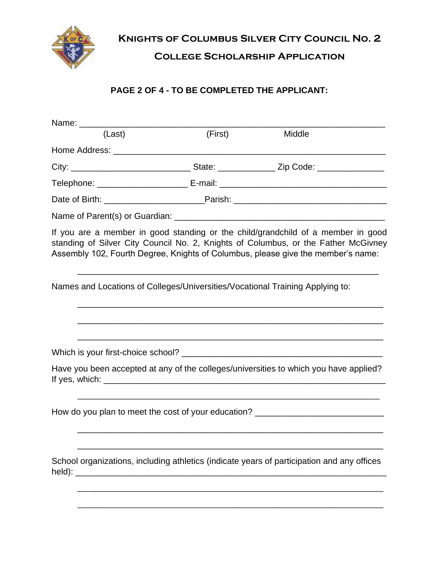

**Knights of Columbus Silver City Council No. 2**

# **College Scholarship Application**

#### **PAGE 2 OF 4 - TO BE COMPLETED THE APPLICANT:**

| Name: _______                                                                 |         |                                                                                                                                                                                                                                                            |
|-------------------------------------------------------------------------------|---------|------------------------------------------------------------------------------------------------------------------------------------------------------------------------------------------------------------------------------------------------------------|
| (Last)                                                                        | (First) | Middle                                                                                                                                                                                                                                                     |
|                                                                               |         |                                                                                                                                                                                                                                                            |
|                                                                               |         |                                                                                                                                                                                                                                                            |
|                                                                               |         |                                                                                                                                                                                                                                                            |
|                                                                               |         |                                                                                                                                                                                                                                                            |
|                                                                               |         |                                                                                                                                                                                                                                                            |
|                                                                               |         | If you are a member in good standing or the child/grandchild of a member in good<br>standing of Silver City Council No. 2, Knights of Columbus, or the Father McGivney<br>Assembly 102, Fourth Degree, Knights of Columbus, please give the member's name: |
| Names and Locations of Colleges/Universities/Vocational Training Applying to: |         |                                                                                                                                                                                                                                                            |
|                                                                               |         |                                                                                                                                                                                                                                                            |
|                                                                               |         | Have you been accepted at any of the colleges/universities to which you have applied?                                                                                                                                                                      |
|                                                                               |         | How do you plan to meet the cost of your education? ____________________________                                                                                                                                                                           |
|                                                                               |         | School organizations, including athletics (indicate years of participation and any offices                                                                                                                                                                 |
|                                                                               |         |                                                                                                                                                                                                                                                            |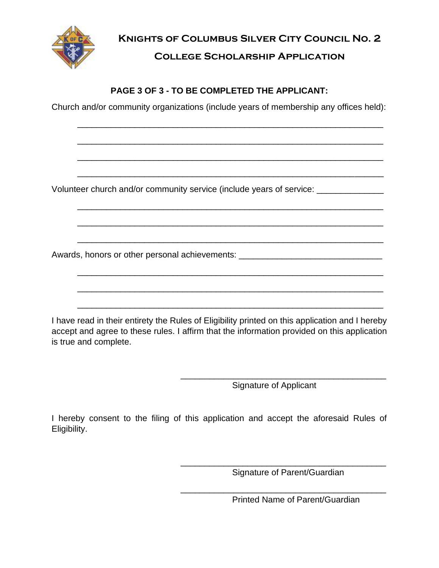

**Knights of Columbus Silver City Council No. 2 College Scholarship Application**

### **PAGE 3 OF 3 - TO BE COMPLETED THE APPLICANT:**

Church and/or community organizations (include years of membership any offices held):

\_\_\_\_\_\_\_\_\_\_\_\_\_\_\_\_\_\_\_\_\_\_\_\_\_\_\_\_\_\_\_\_\_\_\_\_\_\_\_\_\_\_\_\_\_\_\_\_\_\_\_\_\_\_\_\_\_\_\_\_\_\_\_\_

\_\_\_\_\_\_\_\_\_\_\_\_\_\_\_\_\_\_\_\_\_\_\_\_\_\_\_\_\_\_\_\_\_\_\_\_\_\_\_\_\_\_\_\_\_\_\_\_\_\_\_\_\_\_\_\_\_\_\_\_\_\_\_\_

\_\_\_\_\_\_\_\_\_\_\_\_\_\_\_\_\_\_\_\_\_\_\_\_\_\_\_\_\_\_\_\_\_\_\_\_\_\_\_\_\_\_\_\_\_\_\_\_\_\_\_\_\_\_\_\_\_\_\_\_\_\_\_\_

\_\_\_\_\_\_\_\_\_\_\_\_\_\_\_\_\_\_\_\_\_\_\_\_\_\_\_\_\_\_\_\_\_\_\_\_\_\_\_\_\_\_\_\_\_\_\_\_\_\_\_\_\_\_\_\_\_\_\_\_\_\_\_\_

\_\_\_\_\_\_\_\_\_\_\_\_\_\_\_\_\_\_\_\_\_\_\_\_\_\_\_\_\_\_\_\_\_\_\_\_\_\_\_\_\_\_\_\_\_\_\_\_\_\_\_\_\_\_\_\_\_\_\_\_\_\_\_\_

\_\_\_\_\_\_\_\_\_\_\_\_\_\_\_\_\_\_\_\_\_\_\_\_\_\_\_\_\_\_\_\_\_\_\_\_\_\_\_\_\_\_\_\_\_\_\_\_\_\_\_\_\_\_\_\_\_\_\_\_\_\_\_\_

\_\_\_\_\_\_\_\_\_\_\_\_\_\_\_\_\_\_\_\_\_\_\_\_\_\_\_\_\_\_\_\_\_\_\_\_\_\_\_\_\_\_\_\_\_\_\_\_\_\_\_\_\_\_\_\_\_\_\_\_\_\_\_\_

\_\_\_\_\_\_\_\_\_\_\_\_\_\_\_\_\_\_\_\_\_\_\_\_\_\_\_\_\_\_\_\_\_\_\_\_\_\_\_\_\_\_\_\_\_\_\_\_\_\_\_\_\_\_\_\_\_\_\_\_\_\_\_\_

\_\_\_\_\_\_\_\_\_\_\_\_\_\_\_\_\_\_\_\_\_\_\_\_\_\_\_\_\_\_\_\_\_\_\_\_\_\_\_\_\_\_\_\_\_\_\_\_\_\_\_\_\_\_\_\_\_\_\_\_\_\_\_\_

Volunteer church and/or community service (include years of service:  $\sqrt{2}$ 

Awards, honors or other personal achievements: \_\_\_\_\_\_\_\_\_\_\_\_\_\_\_\_\_\_\_\_\_\_\_\_\_\_\_\_\_\_\_\_\_

I have read in their entirety the Rules of Eligibility printed on this application and I hereby accept and agree to these rules. I affirm that the information provided on this application is true and complete.

Signature of Applicant

\_\_\_\_\_\_\_\_\_\_\_\_\_\_\_\_\_\_\_\_\_\_\_\_\_\_\_\_\_\_\_\_\_\_\_\_\_\_\_\_\_\_\_

\_\_\_\_\_\_\_\_\_\_\_\_\_\_\_\_\_\_\_\_\_\_\_\_\_\_\_\_\_\_\_\_\_\_\_\_\_\_\_\_\_\_\_\_\_\_\_\_\_\_\_\_\_\_\_\_\_\_\_\_\_\_\_\_

I hereby consent to the filing of this application and accept the aforesaid Rules of Eligibility.

Signature of Parent/Guardian

\_\_\_\_\_\_\_\_\_\_\_\_\_\_\_\_\_\_\_\_\_\_\_\_\_\_\_\_\_\_\_\_\_\_\_\_\_\_\_\_\_\_\_

\_\_\_\_\_\_\_\_\_\_\_\_\_\_\_\_\_\_\_\_\_\_\_\_\_\_\_\_\_\_\_\_\_\_\_\_\_\_\_\_\_\_\_

Printed Name of Parent/Guardian